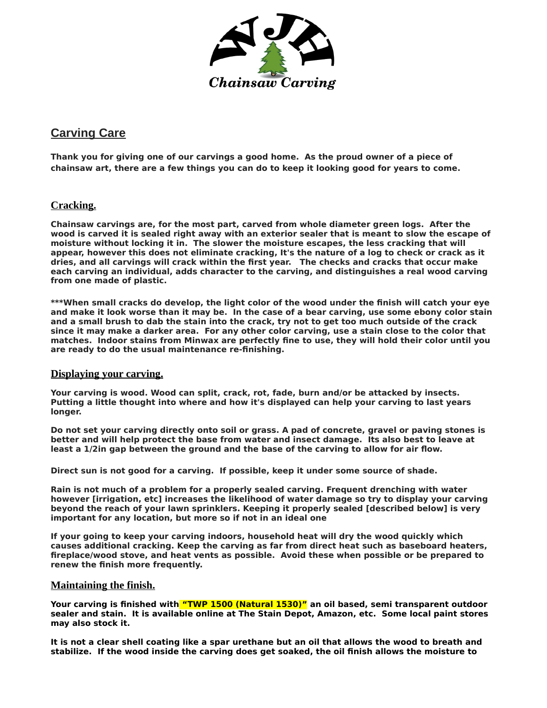

# **Carving Care**

**Thank you for giving one of our carvings a good home. As the proud owner of a piece of chainsaw art, there are a few things you can do to keep it looking good for years to come.**

## **Cracking.**

**Chainsaw carvings are, for the most part, carved from whole diameter green logs. After the wood is carved it is sealed right away with an exterior sealer that is meant to slow the escape of moisture without locking it in. The slower the moisture escapes, the less cracking that will appear, however this does not eliminate cracking, It's the nature of a log to check or crack as it dries, and all carvings will crack within the first year. The checks and cracks that occur make each carving an individual, adds character to the carving, and distinguishes a real wood carving from one made of plastic.**

**\*\*\*When small cracks do develop, the light color of the wood under the finish will catch your eye and make it look worse than it may be. In the case of a bear carving, use some ebony color stain and a small brush to dab the stain into the crack, try not to get too much outside of the crack since it may make a darker area. For any other color carving, use a stain close to the color that matches. Indoor stains from Minwax are perfectly fine to use, they will hold their color until you are ready to do the usual maintenance re-finishing.**

#### **Displaying your carving.**

**Your carving is wood. Wood can split, crack, rot, fade, burn and/or be attacked by insects. Putting a little thought into where and how it's displayed can help your carving to last years longer.**

**Do not set your carving directly onto soil or grass. A pad of concrete, gravel or paving stones is better and will help protect the base from water and insect damage. Its also best to leave at least a 1/2in gap between the ground and the base of the carving to allow for air flow.**

**Direct sun is not good for a carving. If possible, keep it under some source of shade.**

**Rain is not much of a problem for a properly sealed carving. Frequent drenching with water however [irrigation, etc] increases the likelihood of water damage so try to display your carving beyond the reach of your lawn sprinklers. Keeping it properly sealed [described below] is very important for any location, but more so if not in an ideal one**

**If your going to keep your carving indoors, household heat will dry the wood quickly which causes additional cracking. Keep the carving as far from direct heat such as baseboard heaters, fireplace/wood stove, and heat vents as possible. Avoid these when possible or be prepared to renew the finish more frequently.**

## **Maintaining the finish.**

**Your carving is finished with "TWP 1500 (Natural 1530)" an oil based, semi transparent outdoor sealer and stain. It is available online at The Stain Depot, Amazon, etc. Some local paint stores may also stock it.**

**It is not a clear shell coating like a spar urethane but an oil that allows the wood to breath and stabilize. If the wood inside the carving does get soaked, the oil finish allows the moisture to**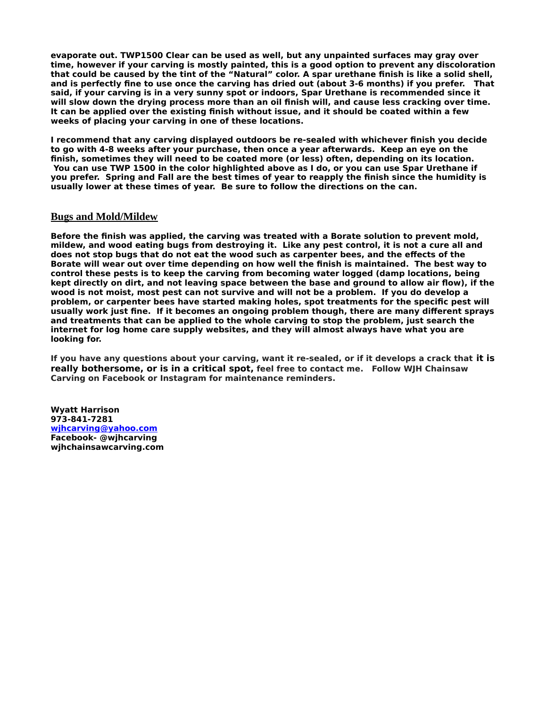**evaporate out. TWP1500 Clear can be used as well, but any unpainted surfaces may gray over time, however if your carving is mostly painted, this is a good option to prevent any discoloration that could be caused by the tint of the "Natural" color. A spar urethane finish is like a solid shell, and is perfectly fine to use once the carving has dried out (about 3-6 months) if you prefer. That said, if your carving is in a very sunny spot or indoors, Spar Urethane is recommended since it will slow down the drying process more than an oil finish will, and cause less cracking over time. It can be applied over the existing finish without issue, and it should be coated within a few weeks of placing your carving in one of these locations.**

**I recommend that any carving displayed outdoors be re-sealed with whichever finish you decide to go with 4-8 weeks after your purchase, then once a year afterwards. Keep an eye on the finish, sometimes they will need to be coated more (or less) often, depending on its location. You can use TWP 1500 in the color highlighted above as I do, or you can use Spar Urethane if you prefer. Spring and Fall are the best times of year to reapply the finish since the humidity is usually lower at these times of year. Be sure to follow the directions on the can.**

#### **Bugs and Mold/Mildew**

**Before the finish was applied, the carving was treated with a Borate solution to prevent mold, mildew, and wood eating bugs from destroying it. Like any pest control, it is not a cure all and does not stop bugs that do not eat the wood such as carpenter bees, and the effects of the Borate will wear out over time depending on how well the finish is maintained. The best way to control these pests is to keep the carving from becoming water logged (damp locations, being kept directly on dirt, and not leaving space between the base and ground to allow air flow), if the wood is not moist, most pest can not survive and will not be a problem. If you do develop a problem, or carpenter bees have started making holes, spot treatments for the specific pest will usually work just fine. If it becomes an ongoing problem though, there are many different sprays and treatments that can be applied to the whole carving to stop the problem, just search the internet for log home care supply websites, and they will almost always have what you are looking for.**

**If you have any questions about your carving, want it re-sealed, or if it develops a crack that it is really bothersome, or is in a critical spot, feel free to contact me. Follow WJH Chainsaw Carving on Facebook or Instagram for maintenance reminders.**

**Wyatt Harrison 973-841-7281 wjhcarvin[g @yahoo.com](mailto:ccwworks@yahoo.com) Facebook- @wjhcarving wjhchainsawcarving.com**